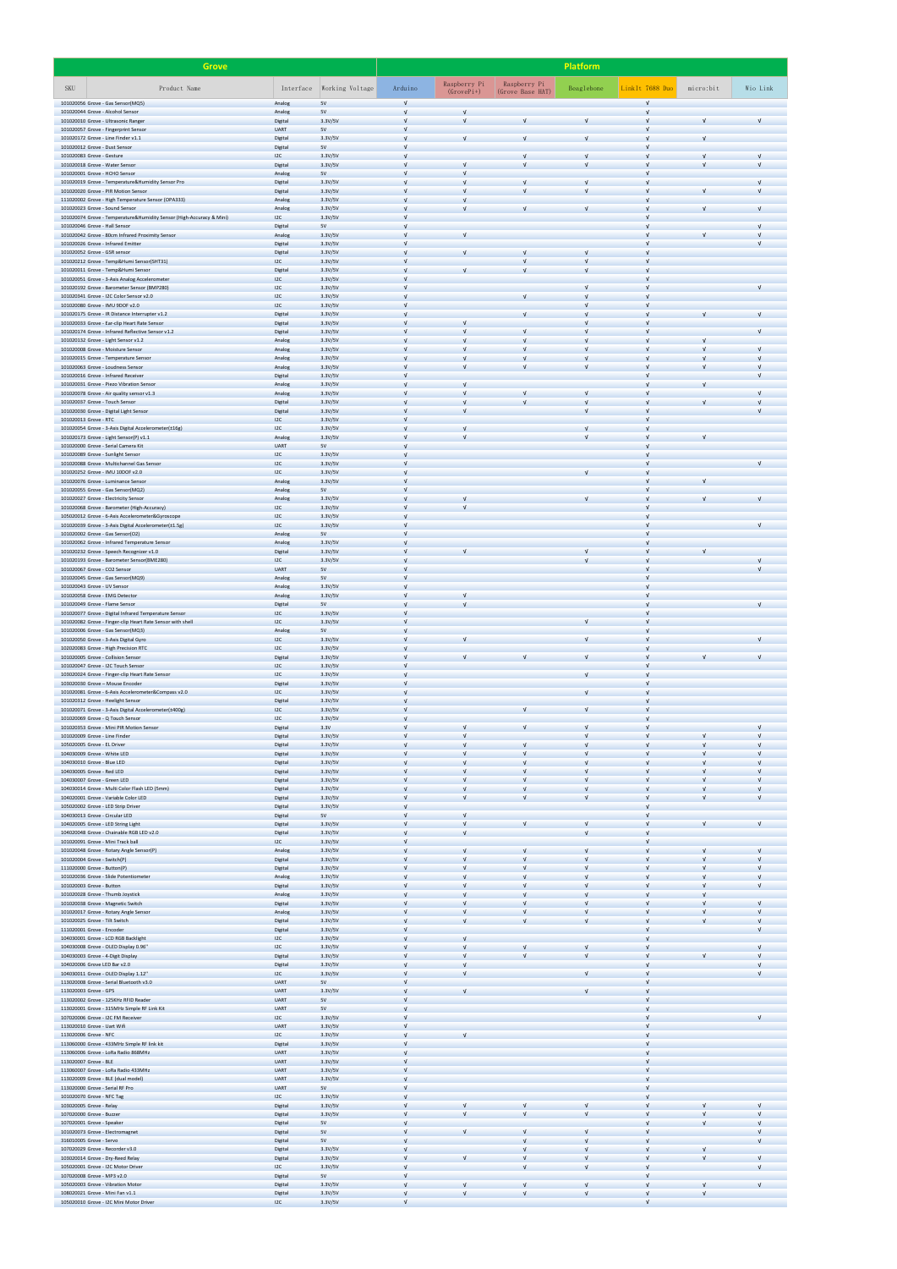| <b>Grove</b>                                                                                              |                            |                    |            |              |                  | <b>Platform</b> |                 |            |            |
|-----------------------------------------------------------------------------------------------------------|----------------------------|--------------------|------------|--------------|------------------|-----------------|-----------------|------------|------------|
| SKU<br>Product Name                                                                                       | Interface                  | Working Voltage    | Arduino    | Raspberry Pi | Raspberry Pi     | Beaglebone      | LinkIt 7688 Duo | micro:bit  | Wio Link   |
| 101020056 Grove - Gas Sensor(MQ5)                                                                         | Analog                     | 5V                 |            | $(GrovePi+)$ | (Grove Base HAT) |                 | $\sqrt{ }$      |            |            |
| 101020044 Grove - Alcohol Sensor<br>101020010 Grove - Ultrasonic Ranger                                   | Analog<br>Digital          | 5V<br>3.3V/5V      |            |              | $\sqrt{ }$       | $\sqrt{ }$      | V<br>$\sqrt{ }$ |            |            |
| 101020057 Grove - Fingerprint Sensor                                                                      | <b>UART</b>                | 5V                 |            |              |                  |                 |                 |            |            |
| 101020172 Grove - Line Finder v1.1<br>101020012 Grove - Dust Sensor                                       | Digital<br>Digital         | 3.3V/5V<br>5V      |            |              |                  |                 | V<br>$\sqrt{ }$ |            |            |
| 101020083 Grove - Gesture<br>101020018 Grove - Water Sensor                                               | 12C<br>Digital             | 3.3V/5V<br>3.3V/5V |            |              |                  | $\sqrt{ }$      | V               |            |            |
| 101020001 Grove - HCHO Sensor                                                                             | Analog                     | 5V                 |            |              |                  |                 |                 |            |            |
| 101020019 Grove - Temperature&Humidity Sensor Pro<br>101020020 Grove - PIR Motion Sensor                  | Digital<br>Digital         | 3.3V/5V<br>3.3V/5V |            |              |                  | $\sqrt{ }$      | V<br>V          |            |            |
| 111020002 Grove - High Temperature Sensor (OPA333)                                                        | Analog                     | 3.3V/5V            |            |              |                  |                 | $\sqrt{ }$      |            |            |
| 101020023 Grove - Sound Sensor<br>101020074 Grove - Temperature&Humidity Sensor (High-Accuracy & Mini)    | Analog<br>12C              | 3.3V/5V<br>3.3V/5V |            |              |                  |                 |                 |            |            |
| 101020046 Grove - Hall Sensor<br>101020042 Grove - 80cm Infrared Proximity Sensor                         | Digital<br>Analog          | 5V<br>3.3V/5V      |            |              |                  |                 |                 |            |            |
| 101020026 Grove - Infrared Emitter                                                                        | Digital                    | 3.3V/5V            |            |              |                  |                 |                 |            |            |
| 101020052 Grove - GSR sensor<br>101020212 Grove - Temp&Humi Sensor(SHT31)                                 | Digital<br>12C             | 3.3V/5V<br>3.3V/5V |            |              |                  |                 | V<br>$\sqrt{ }$ |            |            |
| 101020011 Grove - Temp&Humi Sensor<br>101020051 Grove - 3-Axis Analog Accelerometer                       | Digital<br>12C             | 3.3V/5V<br>3.3V/5V |            |              |                  |                 | $\sqrt{ }$      |            |            |
| 101020192 Grove - Barometer Sensor (BMP280)                                                               | I2C                        | 3.3V/5V            |            |              |                  | $\sqrt{ }$      | V               |            |            |
| 101020341 Grove - I2C Color Sensor v2.0<br>101020080 Grove - IMU 9DOF v2.0                                | 12C<br>12C                 | 3.3V/5V<br>3.3V/5V |            |              |                  |                 | $\sqrt{ }$      |            |            |
| 101020175 Grove - IR Distance Interrupter v1.2<br>101020033 Grove - Ear-clip Heart Rate Sensor            | Digital<br>Digital         | 3.3V/5V<br>3.3V/5V |            |              |                  |                 |                 |            |            |
| 101020174 Grove - Infrared Reflective Sensor v1.2                                                         | <b>Digital</b><br>Analog   | 3.3V/5V<br>3.3V/5V |            |              |                  |                 |                 |            |            |
| 101020132 Grove - Light Sensor v1.2<br>101020008 Grove - Moisture Sensor                                  | Analog                     | 3.3V/5V            |            |              |                  |                 | V               |            |            |
| 101020015 Grove - Temperature Sensor<br>101020063 Grove - Loudness Sensor                                 | Analog<br>Analog           | 3.3V/5V<br>3.3V/5V |            |              |                  |                 | V               |            |            |
| 101020016 Grove - Infrared Receiver<br>101020031 Grove - Piezo Vibration Sensor                           | Digital                    | 3.3V/5V            |            |              |                  |                 |                 |            |            |
| 101020078 Grove - Air quality sensor v1.3                                                                 | Analog<br>Analog           | 3.3V/5V<br>3.3V/5V |            |              |                  |                 |                 |            |            |
| 101020037 Grove - Touch Sensor<br>101020030 Grove - Digital Light Sensor                                  | Digital<br>Digital         | 3.3V/5V<br>3.3V/5V |            |              |                  |                 | V               |            |            |
| 101020013 Grove - RTC                                                                                     | 12C                        | 3.3V/5V            |            |              |                  |                 |                 |            |            |
| 101020054 Grove - 3-Axis Digital Accelerometer(±16g)<br>101020173 Grove - Light Sensor(P) v1.1            | I2C<br>Analog              | 3.3V/5V<br>3.3V/5V |            |              |                  |                 |                 |            |            |
| 101020000 Grove - Serial Camera Kit<br>101020089 Grove - Sunlight Sensor                                  | <b>UART</b><br>12C         | 5V<br>3.3V/5V      |            |              |                  |                 |                 |            |            |
| 101020088 Grove - Multichannel Gas Sensor                                                                 | 12C                        | 3.3V/5V            |            |              |                  |                 |                 |            |            |
| 101020252 Grove - IMU 10DOF v2.0<br>101020076 Grove - Luminance Sensor                                    | 12C<br>Analog              | 3.3V/5V<br>3.3V/5V |            |              |                  |                 |                 |            |            |
| 101020055 Grove - Gas Sensor(MQ2)<br>101020027 Grove - Electricity Sensor                                 | Analog<br>Analog           | 5V<br>3.3V/5V      |            |              |                  |                 | $\sqrt{ }$      |            |            |
| 101020068 Grove - Barometer (High-Accuracy)                                                               | 12C                        | 3.3V/5V            |            |              |                  |                 |                 |            |            |
| 105020012 Grove - 6-Axis Accelerometer&Gyroscope<br>101020039 Grove - 3-Axis Digital Accelerometer(±1.5g) | 12C<br>12C                 | 3.3V/5V<br>3.3V/5V |            |              |                  |                 |                 |            |            |
| 101020002 Grove - Gas Sensor(O2)<br>101020062 Grove - Infrared Temperature Sensor                         | Analog<br>Analog           | 5V<br>3.3V/5V      |            |              |                  |                 |                 |            |            |
| 101020232 Grove - Speech Recognizer v1.0                                                                  | Digital                    | 3.3V/5V            |            |              |                  |                 |                 |            |            |
| 101020193 Grove - Barometer Sensor(BME280)<br>101020067 Grove - CO2 Sensor                                | 12C<br><b>UART</b>         | 3.3V/5V<br>5V      |            |              |                  |                 |                 |            |            |
| 101020045 Grove - Gas Sensor(MQ9)<br>101020043 Grove - UV Sensor                                          | Analog<br>Analog           | 5V<br>3.3V/5V      |            |              |                  |                 |                 |            |            |
| 101020058 Grove - EMG Detector                                                                            | Analog                     | 3.3V/5V            |            |              |                  |                 |                 |            |            |
| 101020049 Grove - Flame Sensor<br>101020077 Grove - Digital Infrared Temperature Sensor                   | Digital<br>12C             | 5V<br>3.3V/5V      |            |              |                  |                 |                 |            |            |
| 101020082 Grove - Finger-clip Heart Rate Sensor with shell<br>101020006 Grove - Gas Sensor(MQ3)           | 12C<br>Analog              | 3.3V/5V<br>5V      |            |              |                  | $\sqrt{ }$      |                 |            |            |
| 101020050 Grove - 3-Axis Digital Gyro                                                                     | 12C                        | 3.3V/5V            |            |              |                  |                 | V               |            |            |
| 102020083 Grove - High Precision RTC<br>101020005 Grove - Collision Sensor                                | I2C<br>Digital             | 3.3V/5V<br>3.3V/5V |            |              |                  | $\sqrt{ }$      | V               |            |            |
| 101020047 Grove - I2C Touch Sensor<br>103020024 Grove - Finger-clip Heart Rate Sensor                     | I2C<br>12C                 | 3.3V/5V<br>3.3V/5V |            |              |                  |                 | V               |            |            |
| 103020030 Grove - Mouse Encoder                                                                           | Digital                    | 3.3V/5V            |            |              |                  |                 |                 |            |            |
| 101020081 Grove - 6-Axis Accelerometer&Compass v2.0<br>101020312 Grove - Heelight Sensor                  | 12C<br>Digital             | 3.3V/5V<br>3.3V/5V |            |              |                  |                 |                 |            |            |
| 101020071 Grove - 3-Axis Digital Accelerometer(±400g)<br>101020069 Grove - Q Touch Sensor                 | 12C<br>12C                 | 3.3V/5V<br>3.3V/5V |            |              |                  |                 | V               |            |            |
| 101020353 Grove - Mini PIR Motion Sensor<br>101020009 Grove - Line Finder                                 | Digital<br>Digital         | 3.3V<br>3.3V/5V    |            |              |                  | $\sqrt{ }$      | V               |            |            |
| 105020005 Grove - EL Driver                                                                               | Digital                    | 3.3V/5V            |            |              |                  |                 |                 |            |            |
| 104030009 Grove - White LED<br>104030010 Grove - Blue LED                                                 | Digital<br>Digital         | 3.3V/5V<br>3.3V/5V |            |              |                  |                 | V<br>V          |            |            |
| 104030005 Grove - Red LED                                                                                 | Digital                    | 3.3V/5V            |            |              |                  |                 | $\sqrt{ }$      |            |            |
| 104030007 Grove - Green LED<br>104030014 Grove - Multi Color Flash LED (5mm)                              | Digital<br>Digital         | 3.3V/5V<br>3.3V/5V |            |              |                  |                 |                 |            |            |
| 104020001 Grove - Variable Color LED<br>105020002 Grove - LED Strip Driver                                | Digital<br>Digital         | 3.3V/5V<br>3.3V/5V |            |              |                  |                 | V               |            |            |
| 104030013 Grove - Circular LED<br>104020005 Grove - LED String Light                                      | Digital                    | 5V<br>3.3V/5V      |            |              |                  |                 | $\sqrt{ }$      |            |            |
| 104020048 Grove - Chainable RGB LED v2.0                                                                  | Digital<br>Digital         | 3.3V/5V            |            |              |                  | $\sqrt{ }$      |                 |            |            |
| 101020091 Grove - Mini Track ball<br>101020048 Grove - Rotary Angle Sensor(P)                             | 12C<br>Analog              | 3.3V/5V<br>3.3V/5V |            |              |                  |                 |                 |            |            |
| 101020004 Grove - Switch(P)                                                                               | Digital                    | 3.3V/5V<br>3.3V/5V |            |              |                  |                 | V<br>$\sqrt{ }$ |            |            |
| 111020000 Grove - Button(P)<br>101020036 Grove - Slide Potentiometer                                      | Digital<br>Analog          | 3.3V/5V            |            |              |                  |                 |                 |            |            |
| 101020003 Grove - Button<br>101020028 Grove - Thumb Joystick                                              | Digital<br>Analog          | 3.3V/5V<br>3.3V/5V |            |              |                  |                 |                 |            |            |
| 101020038 Grove - Magnetic Switch                                                                         | Digital<br>Analog          | 3.3V/5V            |            |              |                  |                 | V               |            | V          |
| 101020017 Grove - Rotary Angle Sensor<br>101020025 Grove - Tilt Switch                                    | Digital                    | 3.3V/5V<br>3.3V/5V |            |              |                  |                 | $\sqrt{ }$      |            |            |
| 111020001 Grove - Encoder<br>104030001 Grove - LCD RGB Backlight                                          | Digital<br>12C             | 3.3V/5V<br>3.3V/5V |            |              |                  |                 |                 |            |            |
| 104030008 Grove - OLED Display 0.96"                                                                      | 12C                        | 3.3V/5V            |            |              |                  |                 |                 |            |            |
| 104030003 Grove - 4-Digit Display<br>104020006 Grove LED Bar v2.0                                         | Digital<br>Digital         | 3.3V/5V<br>3.3V/5V |            |              |                  |                 |                 |            |            |
| 104030011 Grove - OLED Display 1.12"<br>113020008 Grove - Serial Bluetooth v3.0                           | I2C<br><b>UART</b>         | 3.3V/5V<br>5V      |            |              |                  | $\sqrt{ }$      | $\sqrt{ }$      |            |            |
| 113020003 Grove - GPS                                                                                     | <b>UART</b>                | 3.3V/5V            |            |              |                  |                 |                 |            |            |
| 113020002 Grove - 125KHz RFID Reader<br>113020001 Grove - 315MHz Simple RF Link Kit                       | <b>UART</b><br><b>UART</b> | 5V<br>5V           |            |              |                  |                 |                 |            |            |
| 107020006 Grove - I2C FM Receiver<br>113020010 Grove - Uart Wifi                                          | 12C<br><b>UART</b>         | 3.3V/5V<br>3.3V/5V |            |              |                  |                 |                 |            |            |
| 113020006 Grove - NFC                                                                                     | 12C                        | 3.3V/5V            |            |              |                  |                 |                 |            |            |
| 113060000 Grove - 433MHz Simple RF link kit<br>113060006 Grove - LoRa Radio 868MHz                        | Digital<br><b>UART</b>     | 3.3V/5V<br>3.3V/5V |            |              |                  |                 |                 |            |            |
| 113020007 Grove - BLE<br>113060007 Grove - LoRa Radio 433MHz                                              | <b>UART</b><br><b>UART</b> | 3.3V/5V<br>3.3V/5V |            |              |                  |                 | V               |            |            |
| 113020009 Grove - BLE (dual model)                                                                        | <b>UART</b>                | 3.3V/5V            |            |              |                  |                 |                 |            |            |
| 113020000 Grove - Serial RF Pro<br>101020070 Grove - NFC Tag                                              | <b>UART</b><br>12C         | 5V<br>3.3V/5V      |            |              |                  |                 |                 |            |            |
| 103020005 Grove - Relay<br>107020000 Grove - Buzzer                                                       | Digital<br>Digital         | 3.3V/5V<br>3.3V/5V |            |              |                  | $\sqrt{ }$      | V<br>$\sqrt{ }$ |            |            |
| 107020001 Grove - Speaker                                                                                 | Digital                    | 5V                 |            |              |                  |                 |                 |            |            |
| 101020073 Grove - Electromagnet<br>316010005 Grove - Servo                                                | Digital<br>Digital         | 5V<br>5V           |            |              |                  |                 | V<br>$\sqrt{ }$ |            | V          |
| 107020029 Grove - Recorder v3.0                                                                           | Digital                    | 3.3V/5V            |            |              |                  |                 |                 |            |            |
| 103020014 Grove - Dry-Reed Relay<br>105020001 Grove - I2C Motor Driver                                    | Digital<br>12C             | 3.3V/5V<br>3.3V/5V |            |              |                  |                 |                 |            |            |
| 107020008 Grove - MP3 v2.0<br>105020003 Grove - Vibration Motor                                           | Digital<br>Digital         | 5V<br>3.3V/5V      | $\sqrt{ }$ | $\sqrt{ }$   |                  | $\sqrt{ }$      | V<br>$\sqrt{ }$ | $\sqrt{ }$ | $\sqrt{ }$ |
| 108020021 Grove - Mini Fan v1.1<br>105020010 Grove - I2C Mini Motor Driver                                | Digital<br>12C             | 3.3V/5V<br>3.3V/5V |            |              |                  | $\sqrt{ }$      | $\sqrt{ }$<br>V |            |            |